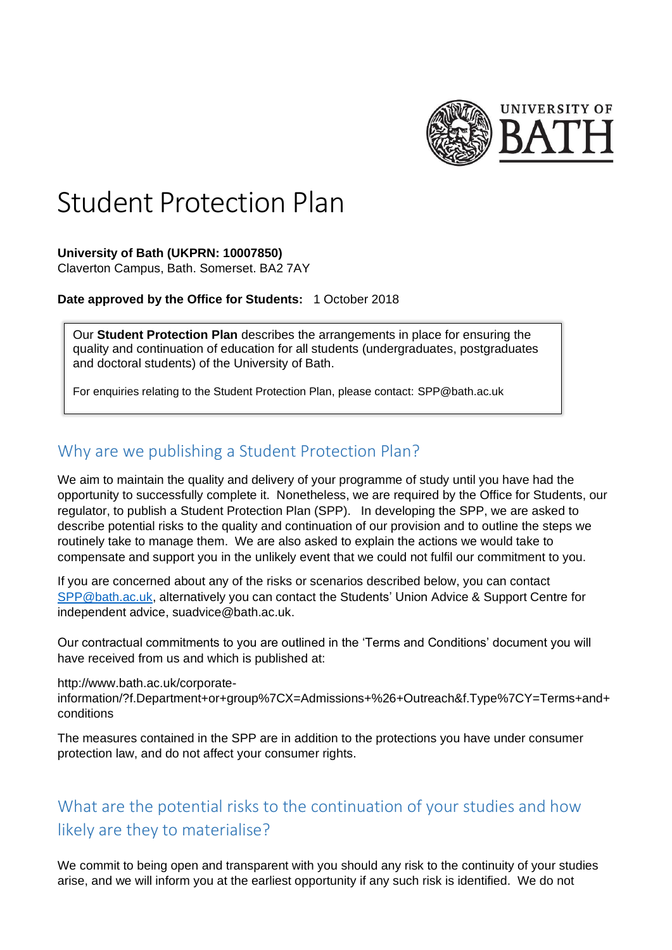

# Student Protection Plan

## **University of Bath (UKPRN: 10007850)**

Claverton Campus, Bath. Somerset. BA2 7AY

## **Date approved by the Office for Students:** 1 October 2018

Our **Student Protection Plan** describes the arrangements in place for ensuring the quality and continuation of education for all students (undergraduates, postgraduates and doctoral students) of the University of Bath.

For enquiries relating to the Student Protection Plan, please contact: [SPP@bath.ac.uk](mailto:SPP@bath.ac.uk)

## Why are we publishing a Student Protection Plan?

We aim to maintain the quality and delivery of your programme of study until you have had the opportunity to successfully complete it. Nonetheless, we are required by the Office for Students, our regulator, to publish a Student Protection Plan (SPP). In developing the SPP, we are asked to describe potential risks to the quality and continuation of our provision and to outline the steps we routinely take to manage them. We are also asked to explain the actions we would take to compensate and support you in the unlikely event that we could not fulfil our commitment to you.

If you are concerned about any of the risks or scenarios described below, you can contact [SPP@bath.ac.uk,](mailto:SPP@bath.ac.uk) alternatively you can contact the Students' Union Advice & Support Centre for independent advice, suadvice@bath.ac.uk.

Our contractual commitments to you are outlined in the 'Terms and Conditions' document you will have received from us and which is published at:

[http://www.bath.ac.uk/corporate-](http://www.bath.ac.uk/corporate-information/?f.Department+or+group%7CX=Admissions+%26+Outreach&f.Type%7CY=Terms+and+conditions)

[information/?f.Department+or+group%7CX=Admissions+%26+Outreach&f.Type%7CY=Terms+and+](http://www.bath.ac.uk/corporate-information/?f.Department+or+group%7CX=Admissions+%26+Outreach&f.Type%7CY=Terms+and+conditions) [conditions](http://www.bath.ac.uk/corporate-information/?f.Department+or+group%7CX=Admissions+%26+Outreach&f.Type%7CY=Terms+and+conditions)

The measures contained in the SPP are in addition to the protections you have under consumer protection law, and do not affect your consumer rights.

# What are the potential risks to the continuation of your studies and how likely are they to materialise?

We commit to being open and transparent with you should any risk to the continuity of your studies arise, and we will inform you at the earliest opportunity if any such risk is identified. We do not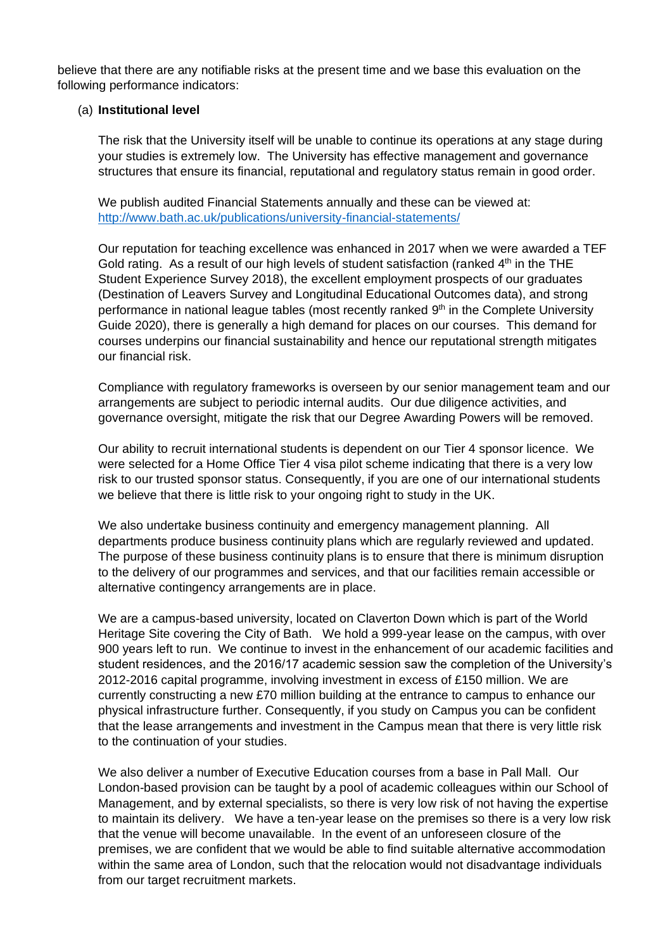believe that there are any notifiable risks at the present time and we base this evaluation on the following performance indicators:

## (a) **Institutional level**

The risk that the University itself will be unable to continue its operations at any stage during your studies is extremely low. The University has effective management and governance structures that ensure its financial, reputational and regulatory status remain in good order.

We publish audited Financial Statements annually and these can be viewed at: <http://www.bath.ac.uk/publications/university-financial-statements/>

Our reputation for teaching excellence was enhanced in 2017 when we were awarded a TEF Gold rating. As a result of our high levels of student satisfaction (ranked  $4<sup>th</sup>$  in the THE Student Experience Survey 2018), the excellent employment prospects of our graduates (Destination of Leavers Survey and Longitudinal Educational Outcomes data), and strong performance in national league tables (most recently ranked 9<sup>th</sup> in the Complete University Guide 2020), there is generally a high demand for places on our courses. This demand for courses underpins our financial sustainability and hence our reputational strength mitigates our financial risk.

Compliance with regulatory frameworks is overseen by our senior management team and our arrangements are subject to periodic internal audits. Our due diligence activities, and governance oversight, mitigate the risk that our Degree Awarding Powers will be removed.

Our ability to recruit international students is dependent on our Tier 4 sponsor licence. We were selected for a Home Office Tier 4 visa pilot scheme indicating that there is a very low risk to our trusted sponsor status. Consequently, if you are one of our international students we believe that there is little risk to your ongoing right to study in the UK.

We also undertake business continuity and emergency management planning. All departments produce business continuity plans which are regularly reviewed and updated. The purpose of these business continuity plans is to ensure that there is minimum disruption to the delivery of our programmes and services, and that our facilities remain accessible or alternative contingency arrangements are in place.

We are a campus-based university, located on Claverton Down which is part of the World Heritage Site covering the City of Bath. We hold a 999-year lease on the campus, with over 900 years left to run. We continue to invest in the enhancement of our academic facilities and student residences, and the 2016/17 academic session saw the completion of the University's 2012-2016 capital programme, involving investment in excess of £150 million. We are currently constructing a new £70 million building at the entrance to campus to enhance our physical infrastructure further. Consequently, if you study on Campus you can be confident that the lease arrangements and investment in the Campus mean that there is very little risk to the continuation of your studies.

We also deliver a number of Executive Education courses from a base in Pall Mall. Our London-based provision can be taught by a pool of academic colleagues within our School of Management, and by external specialists, so there is very low risk of not having the expertise to maintain its delivery. We have a ten-year lease on the premises so there is a very low risk that the venue will become unavailable. In the event of an unforeseen closure of the premises, we are confident that we would be able to find suitable alternative accommodation within the same area of London, such that the relocation would not disadvantage individuals from our target recruitment markets.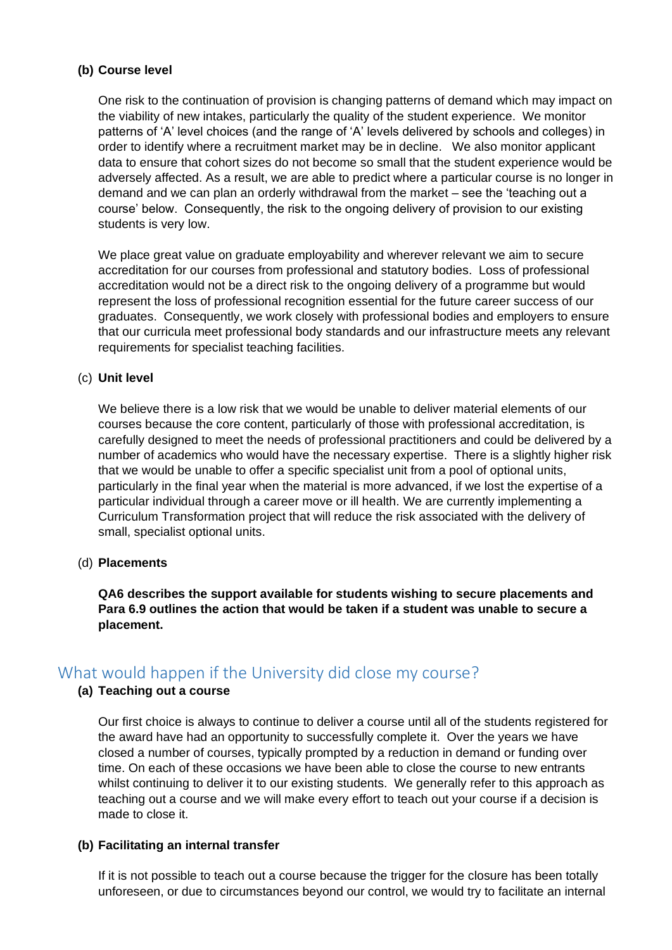## **(b) Course level**

One risk to the continuation of provision is changing patterns of demand which may impact on the viability of new intakes, particularly the quality of the student experience. We monitor patterns of 'A' level choices (and the range of 'A' levels delivered by schools and colleges) in order to identify where a recruitment market may be in decline. We also monitor applicant data to ensure that cohort sizes do not become so small that the student experience would be adversely affected. As a result, we are able to predict where a particular course is no longer in demand and we can plan an orderly withdrawal from the market – see the 'teaching out a course' below. Consequently, the risk to the ongoing delivery of provision to our existing students is very low.

We place great value on graduate employability and wherever relevant we aim to secure accreditation for our courses from professional and statutory bodies. Loss of professional accreditation would not be a direct risk to the ongoing delivery of a programme but would represent the loss of professional recognition essential for the future career success of our graduates. Consequently, we work closely with professional bodies and employers to ensure that our curricula meet professional body standards and our infrastructure meets any relevant requirements for specialist teaching facilities.

## (c) **Unit level**

We believe there is a low risk that we would be unable to deliver material elements of our courses because the core content, particularly of those with professional accreditation, is carefully designed to meet the needs of professional practitioners and could be delivered by a number of academics who would have the necessary expertise. There is a slightly higher risk that we would be unable to offer a specific specialist unit from a pool of optional units, particularly in the final year when the material is more advanced, if we lost the expertise of a particular individual through a career move or ill health. We are currently implementing a Curriculum Transformation project that will reduce the risk associated with the delivery of small, specialist optional units.

## (d) **Placements**

**QA6 describes the support available for students wishing to secure placements and Para 6.9 outlines the action that would be taken if a student was unable to secure a placement.**

## What would happen if the University did close my course?

## **(a) Teaching out a course**

Our first choice is always to continue to deliver a course until all of the students registered for the award have had an opportunity to successfully complete it. Over the years we have closed a number of courses, typically prompted by a reduction in demand or funding over time. On each of these occasions we have been able to close the course to new entrants whilst continuing to deliver it to our existing students. We generally refer to this approach as teaching out a course and we will make every effort to teach out your course if a decision is made to close it.

## **(b) Facilitating an internal transfer**

If it is not possible to teach out a course because the trigger for the closure has been totally unforeseen, or due to circumstances beyond our control, we would try to facilitate an internal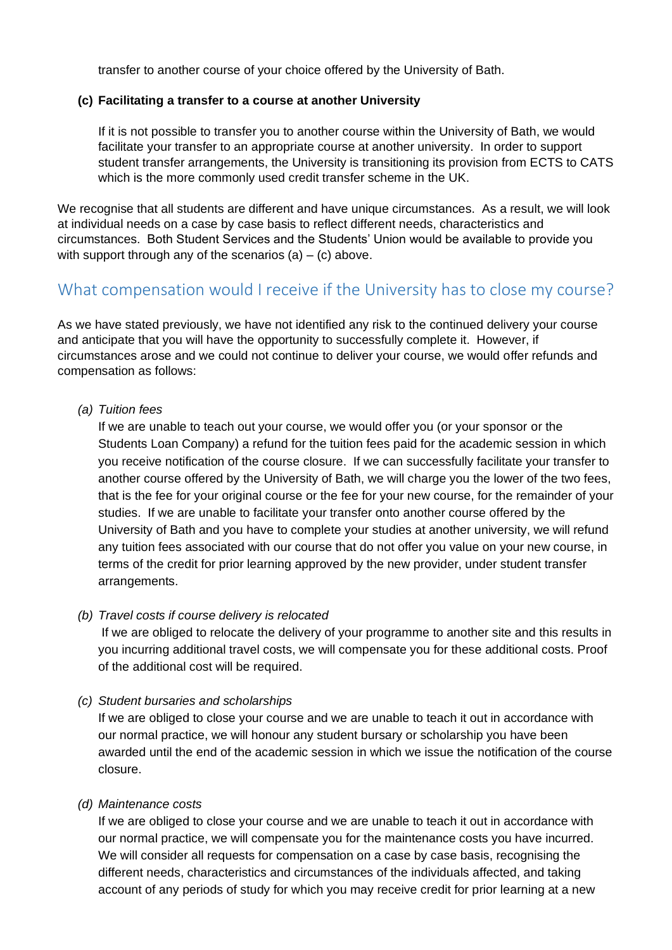transfer to another course of your choice offered by the University of Bath.

## **(c) Facilitating a transfer to a course at another University**

If it is not possible to transfer you to another course within the University of Bath, we would facilitate your transfer to an appropriate course at another university. In order to support student transfer arrangements, the University is transitioning its provision from ECTS to CATS which is the more commonly used credit transfer scheme in the UK.

We recognise that all students are different and have unique circumstances. As a result, we will look at individual needs on a case by case basis to reflect different needs, characteristics and circumstances. Both Student Services and the Students' Union would be available to provide you with support through any of the scenarios  $(a) - (c)$  above.

## What compensation would I receive if the University has to close my course?

As we have stated previously, we have not identified any risk to the continued delivery your course and anticipate that you will have the opportunity to successfully complete it. However, if circumstances arose and we could not continue to deliver your course, we would offer refunds and compensation as follows:

*(a) Tuition fees*

If we are unable to teach out your course, we would offer you (or your sponsor or the Students Loan Company) a refund for the tuition fees paid for the academic session in which you receive notification of the course closure. If we can successfully facilitate your transfer to another course offered by the University of Bath, we will charge you the lower of the two fees, that is the fee for your original course or the fee for your new course, for the remainder of your studies. If we are unable to facilitate your transfer onto another course offered by the University of Bath and you have to complete your studies at another university, we will refund any tuition fees associated with our course that do not offer you value on your new course, in terms of the credit for prior learning approved by the new provider, under student transfer arrangements.

## *(b) Travel costs if course delivery is relocated*

If we are obliged to relocate the delivery of your programme to another site and this results in you incurring additional travel costs, we will compensate you for these additional costs. Proof of the additional cost will be required.

## *(c) Student bursaries and scholarships*

If we are obliged to close your course and we are unable to teach it out in accordance with our normal practice, we will honour any student bursary or scholarship you have been awarded until the end of the academic session in which we issue the notification of the course closure.

## *(d) Maintenance costs*

If we are obliged to close your course and we are unable to teach it out in accordance with our normal practice, we will compensate you for the maintenance costs you have incurred. We will consider all requests for compensation on a case by case basis, recognising the different needs, characteristics and circumstances of the individuals affected, and taking account of any periods of study for which you may receive credit for prior learning at a new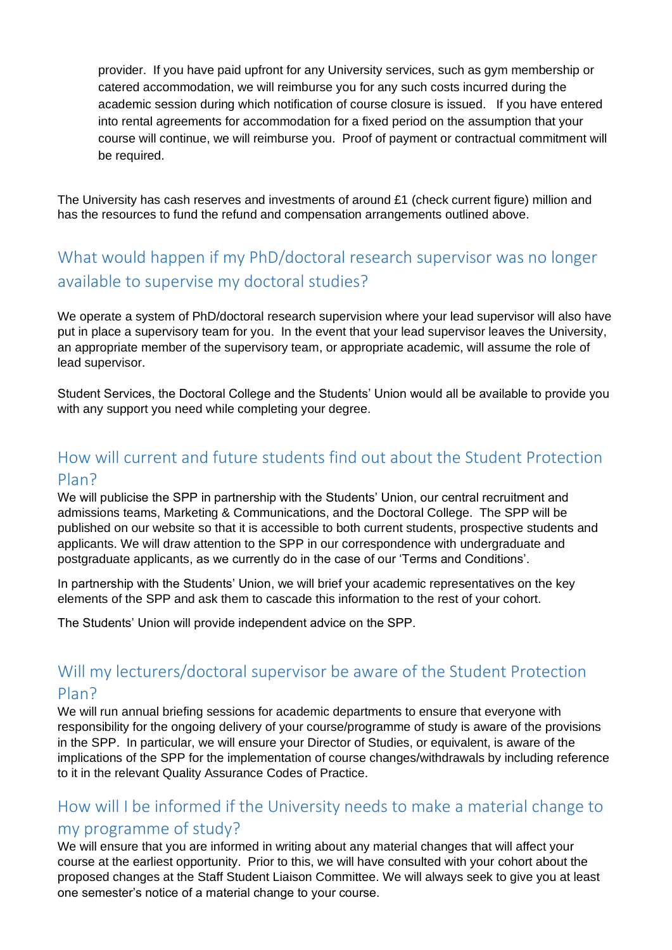provider. If you have paid upfront for any University services, such as gym membership or catered accommodation, we will reimburse you for any such costs incurred during the academic session during which notification of course closure is issued. If you have entered into rental agreements for accommodation for a fixed period on the assumption that your course will continue, we will reimburse you. Proof of payment or contractual commitment will be required.

The University has cash reserves and investments of around £1 (check current figure) million and has the resources to fund the refund and compensation arrangements outlined above.

# What would happen if my PhD/doctoral research supervisor was no longer available to supervise my doctoral studies?

We operate a system of PhD/doctoral research supervision where your lead supervisor will also have put in place a supervisory team for you. In the event that your lead supervisor leaves the University, an appropriate member of the supervisory team, or appropriate academic, will assume the role of lead supervisor.

Student Services, the Doctoral College and the Students' Union would all be available to provide you with any support you need while completing your degree.

# How will current and future students find out about the Student Protection Plan?

We will publicise the SPP in partnership with the Students' Union, our central recruitment and admissions teams, Marketing & Communications, and the Doctoral College. The SPP will be published on our website so that it is accessible to both current students, prospective students and applicants. We will draw attention to the SPP in our correspondence with undergraduate and postgraduate applicants, as we currently do in the case of our 'Terms and Conditions'.

In partnership with the Students' Union, we will brief your academic representatives on the key elements of the SPP and ask them to cascade this information to the rest of your cohort.

The Students' Union will provide independent advice on the SPP.

# Will my lecturers/doctoral supervisor be aware of the Student Protection Plan?

We will run annual briefing sessions for academic departments to ensure that everyone with responsibility for the ongoing delivery of your course/programme of study is aware of the provisions in the SPP. In particular, we will ensure your Director of Studies, or equivalent, is aware of the implications of the SPP for the implementation of course changes/withdrawals by including reference to it in the relevant Quality Assurance Codes of Practice.

# How will I be informed if the University needs to make a material change to my programme of study?

We will ensure that you are informed in writing about any material changes that will affect your course at the earliest opportunity. Prior to this, we will have consulted with your cohort about the proposed changes at the Staff Student Liaison Committee. We will always seek to give you at least one semester's notice of a material change to your course.